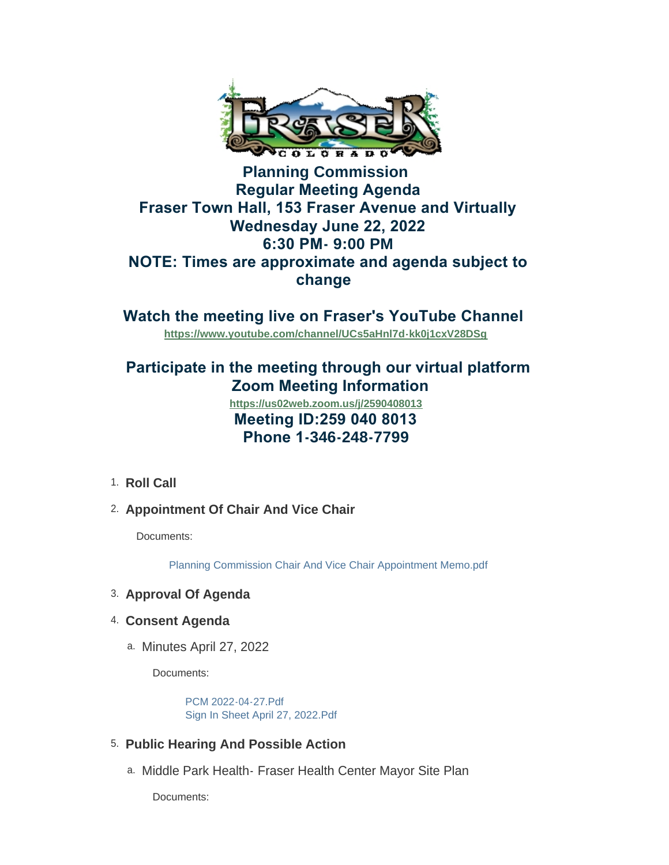

## **Planning Commission Regular Meeting Agenda Fraser Town Hall, 153 Fraser Avenue and Virtually Wednesday June 22, 2022 6:30 PM- 9:00 PM NOTE: Times are approximate and agenda subject to change**

**Watch the meeting live on Fraser's YouTube Channel** 

**<https://www.youtube.com/channel/UCs5aHnl7d-kk0j1cxV28DSg>**

## **Participate in the meeting through our virtual platform Zoom Meeting Information**

 **Meeting ID:259 040 8013 Phone 1-346-248-7799 <https://us02web.zoom.us/j/2590408013>**

- 1. Roll Call
- **Appointment Of Chair And Vice Chair** 2.

Documents:

[Planning Commission Chair And Vice Chair Appointment Memo.pdf](https://www.frasercolorado.com/AgendaCenter/ViewFile/Item/4263?fileID=3748)

- **Approval Of Agenda** 3.
- **Consent Agenda** 4.
	- a. Minutes April 27, 2022

Documents:

[PCM 2022-04-27.Pdf](https://www.frasercolorado.com/AgendaCenter/ViewFile/Item/4261?fileID=3734) [Sign In Sheet April 27, 2022.Pdf](https://www.frasercolorado.com/AgendaCenter/ViewFile/Item/4261?fileID=3735)

- **Public Hearing And Possible Action** 5.
	- a. Middle Park Health- Fraser Health Center Mayor Site Plan

Documents: